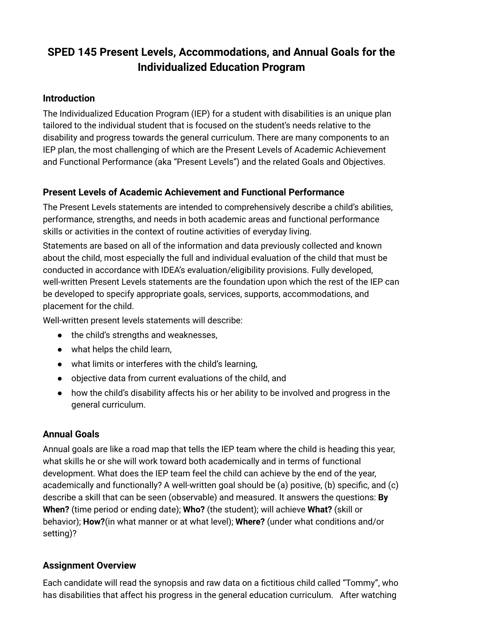# **SPED 145 Present Levels, Accommodations, and Annual Goals for the Individualized Education Program**

#### **Introduction**

The Individualized Education Program (IEP) for a student with disabilities is an unique plan tailored to the individual student that is focused on the student's needs relative to the disability and progress towards the general curriculum. There are many components to an IEP plan, the most challenging of which are the Present Levels of Academic Achievement and Functional Performance (aka "Present Levels") and the related Goals and Objectives.

### **Present Levels of Academic Achievement and Functional Performance**

The Present Levels statements are intended to comprehensively describe a child's abilities, performance, strengths, and needs in both academic areas and functional performance skills or activities in the context of routine activities of everyday living.

Statements are based on all of the information and data previously collected and known about the child, most especially the full and individual evaluation of the child that must be conducted in accordance with IDEA's evaluation/eligibility provisions. Fully developed, well-written Present Levels statements are the foundation upon which the rest of the IEP can be developed to specify appropriate goals, services, supports, accommodations, and placement for the child.

Well-written present levels statements will describe:

- the child's strengths and weaknesses,
- what helps the child learn,
- what limits or interferes with the child's learning,
- objective data from current evaluations of the child, and
- how the child's disability affects his or her ability to be involved and progress in the general curriculum.

#### **Annual Goals**

Annual goals are like a road map that tells the IEP team where the child is heading this year, what skills he or she will work toward both academically and in terms of functional development. What does the IEP team feel the child can achieve by the end of the year, academically and functionally? A well-written goal should be (a) positive, (b) specific, and (c) describe a skill that can be seen (observable) and measured. It answers the questions: **By When?** (time period or ending date); **Who?** (the student); will achieve **What?** (skill or behavior); **How?**(in what manner or at what level); **Where?** (under what conditions and/or setting)?

#### **Assignment Overview**

Each candidate will read the synopsis and raw data on a fictitious child called "Tommy", who has disabilities that affect his progress in the general education curriculum. After watching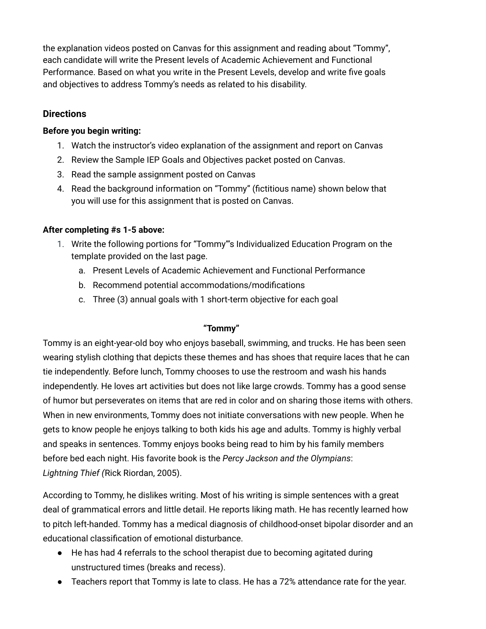the explanation videos posted on Canvas for this assignment and reading about "Tommy", each candidate will write the Present levels of Academic Achievement and Functional Performance. Based on what you write in the Present Levels, develop and write five goals and objectives to address Tommy's needs as related to his disability.

#### **Directions**

#### **Before you begin writing:**

- 1. Watch the instructor's video explanation of the assignment and report on Canvas
- 2. Review the Sample IEP Goals and Objectives packet posted on Canvas.
- 3. Read the sample assignment posted on Canvas
- 4. Read the background information on "Tommy" (fictitious name) shown below that you will use for this assignment that is posted on Canvas.

#### **After completing #s 1-5 above:**

- 1. Write the following portions for "Tommy"'s Individualized Education Program on the template provided on the last page.
	- a. Present Levels of Academic Achievement and Functional Performance
	- b. Recommend potential accommodations/modifications
	- c. Three (3) annual goals with 1 short-term objective for each goal

#### **"Tommy"**

Tommy is an eight-year-old boy who enjoys baseball, swimming, and trucks. He has been seen wearing stylish clothing that depicts these themes and has shoes that require laces that he can tie independently. Before lunch, Tommy chooses to use the restroom and wash his hands independently. He loves art activities but does not like large crowds. Tommy has a good sense of humor but perseverates on items that are red in color and on sharing those items with others. When in new environments, Tommy does not initiate conversations with new people. When he gets to know people he enjoys talking to both kids his age and adults. Tommy is highly verbal and speaks in sentences. Tommy enjoys books being read to him by his family members before bed each night. His favorite book is the *Percy Jackson and the Olympians*: *Lightning Thief (*Rick Riordan, 2005).

According to Tommy, he dislikes writing. Most of his writing is simple sentences with a great deal of grammatical errors and little detail. He reports liking math. He has recently learned how to pitch left-handed. Tommy has a medical diagnosis of childhood-onset bipolar disorder and an educational classification of emotional disturbance.

- He has had 4 referrals to the school therapist due to becoming agitated during unstructured times (breaks and recess).
- Teachers report that Tommy is late to class. He has a 72% attendance rate for the year.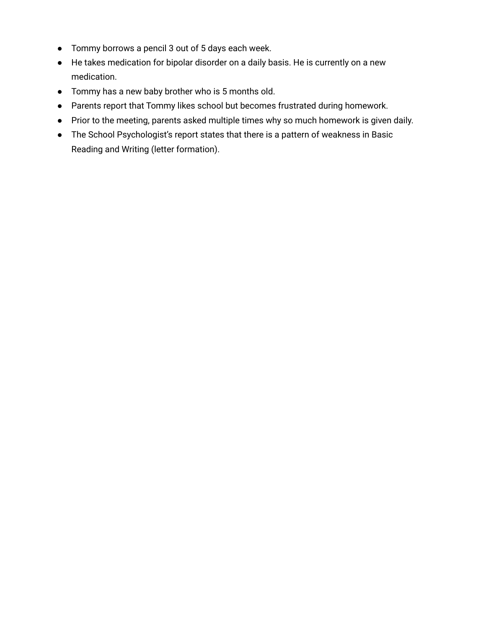- Tommy borrows a pencil 3 out of 5 days each week.
- He takes medication for bipolar disorder on a daily basis. He is currently on a new medication.
- Tommy has a new baby brother who is 5 months old.
- Parents report that Tommy likes school but becomes frustrated during homework.
- Prior to the meeting, parents asked multiple times why so much homework is given daily.
- The School Psychologist's report states that there is a pattern of weakness in Basic Reading and Writing (letter formation).